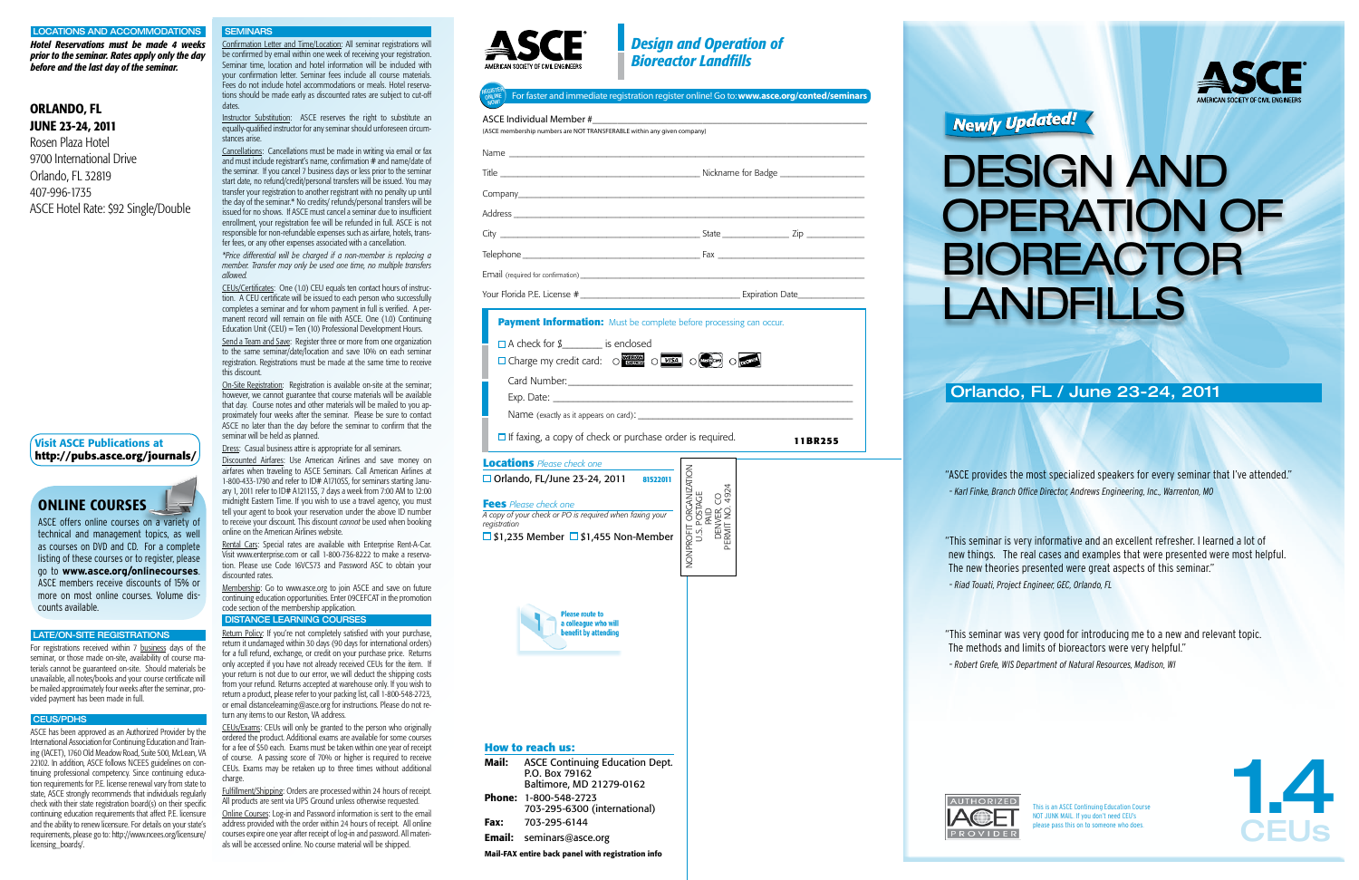This is an ASCE Continuing Education Course NOT JUNK MAIL. If you don't need CEU's

Confirmation Letter and Time/Location: All seminar registrations will be confirmed by email within one week of receiving your registration. Seminar time, location and hotel information will be included with your confirmation letter. Seminar fees include all course materials. Fees do not include hotel accommodations or meals. Hotel reservations should be made early as discounted rates are subject to cut-off dates.

Instructor Substitution: ASCE reserves the right to substitute an equally-qualified instructor for any seminar should unforeseen circumstances arise.

Send a Team and Save: Register three or more from one organization to the same seminar/date/location and save 10% on each seminar registration. Registrations must be made at the same time to receive this discount.

Cancellations: Cancellations must be made in writing via email or fax and must include registrant's name, confirmation # and name/date of the seminar. If you cancel 7 business days or less prior to the seminar start date, no refund/credit/personal transfers will be issued. You may transfer your registration to another registrant with no penalty up until the day of the seminar.\* No credits/ refunds/personal transfers will be issued for no shows. If ASCE must cancel a seminar due to insufficient enrollment, your registration fee will be refunded in full. ASCE is not responsible for non-refundable expenses such as airfare, hotels, transfer fees, or any other expenses associated with a cancellation.

*\*Price differential will be charged if a non-member is replacing a member. Transfer may only be used one time, no multiple transfers allowed.*

Rental Cars: Special rates are available with Enterprise Rent-A-Car. Visit www.enterprise.com or call 1-800-736-8222 to make a reservation. Please use Code 16VCS73 and Password ASC to obtain your discounted rates.

CEUs/Certificates: One (1.0) CEU equals ten contact hours of instruction. A CEU certificate will be issued to each person who successfully completes a seminar and for whom payment in full is verified. A permanent record will remain on file with ASCE. One (1.0) Continuing Education Unit (CEU) = Ten (10) Professional Development Hours.

Return Policy: If you're not completely satisfied with your purchase, return it undamaged within 30 days (90 days for international orders) for a full refund, exchange, or credit on your purchase price. Returns only accepted if you have not already received CEUs for the item. If your return is not due to our error, we will deduct the shipping costs from your refund. Returns accepted at warehouse only. If you wish to return a product, please refer to your packing list, call 1-800-548-2723, or email distancelearning@asce.org for instructions. Please do not return any items to our Reston, VA address.

On-Site Registration: Registration is available on-site at the seminar; however, we cannot guarantee that course materials will be available that day. Course notes and other materials will be mailed to you approximately four weeks after the seminar. Please be sure to contact ASCE no later than the day before the seminar to confirm that the seminar will be held as planned.

Dress: Casual business attire is appropriate for all seminars.

Discounted Airfares: Use American Airlines and save money on airfares when traveling to ASCE Seminars. Call American Airlines at 1-800-433-1790 and refer to ID# A1710SS, for seminars starting January 1, 2011 refer to ID# A1211SS, 7 days a week from 7:00 AM to 12:00 midnight Eastern Time. If you wish to use a travel agency, you must tell your agent to book your reservation under the above ID number to receive your discount. This discount *cannot* be used when booking online on the American Airlines website.

For registrations received within 7 business days of the seminar, or those made on-site, availability of course materials cannot be guaranteed on-site. Should materials be unavailable, all notes/books and your course certificate will be mailed approximately four weeks after the seminar, provided payment has been made in full.

# DESIGN AND OPERATION OF **BIOREACTOR** Landfills

Membership: Go to www.asce.org to join ASCE and save on future continuing education opportunities. Enter 09CEFCAT in the promotion code section of the membership application.

### DISTANCE LEARNING COURSES





### For faster and immediate registration register online! Go to: www.asce.org/conted/seminars ONLINE NOW!

CEUs/Exams: CEUs will only be granted to the person who originally ordered the product. Additional exams are available for some courses for a fee of \$50 each. Exams must be taken within one year of receipt of course. A passing score of 70% or higher is required to receive CEUs. Exams may be retaken up to three times without additional charge.

Fulfillment/Shipping: Orders are processed within 24 hours of receipt. All products are sent via UPS Ground unless otherwise requested.

Online Courses: Log-in and Password information is sent to the email address provided with the order within 24 hours of receipt. All online courses expire one year after receipt of log-in and password. All materials will be accessed online. No course material will be shipped.



### CEUS/PDHS

ASCE has been approved as an Authorized Provider by the International Association for Continuing Education and Training (IACET), 1760 Old Meadow Road, Suite 500, McLean, VA 22102. In addition, ASCE follows NCEES guidelines on continuing professional competency. Since continuing education requirements for P.E. license renewal vary from state to state, ASCE strongly recommends that individuals regularly check with their state registration board(s) on their specific continuing education requirements that affect P.E. licensure and the ability to renew licensure. For details on your state's requirements, please go to: http://www.ncees.org/licensure/ licensing\_boards/.

### **SEMINARS**

### Locations and Accommodations

*Hotel Reservations must be made 4 weeks prior to the seminar. Rates apply only the day before and the last day of the seminar.*

### Late/On-Site Registrations

ASCE offers online courses on a variety of technical and management topics, as well as courses on DVD and CD. For a complete listing of these courses or to register, please go to **www.asce.org/onlinecourses**. ASCE members receive discounts of 15% or more on most online courses. Volume discounts available.

**ONLINE COURSES**

### ORLANDO, FL JUNE 23-24, 2011

Rosen Plaza Hotel 9700 International Drive Orlando, FL 32819 407-996-1735 ASCE Hotel Rate: \$92 Single/Double

> "ASCE provides the most specialized speakers for every seminar that I've attended."  *– Karl Finke, Branch Office Director, Andrews Engineering, Inc., Warrenton, MO*

"This seminar is very informative and an excellent refresher. I learned a lot of new things. The real cases and examples that were presented were most helpful. The new theories presented were great aspects of this seminar."  *– Riad Touati, Project Engineer, GEC, Orlando, FL*

"This seminar was very good for introducing me to a new and relevant topic. The methods and limits of bioreactors were very helpful."  *– Robert Grefe, WIS Department of Natural Resources, Madison, WI*

**11BR255**







U.S. POSTAGE

DENVER, CO PERMIT NO. 4924

 $rac{4924}{4924}$ 

 $\Box$  If faxing, a copy of check or purchase order is required.

### Visit ASCE Publications at **http://pubs.asce.org/journals/**

### **How to reach us:**

Mail: ASCE Continuing Education Dept. P.O. Box 79162 Baltimore, MD 21279-0162 Phone: 1-800-548-2723 703-295-6300 (international)





Fax: 703-295-6144

Email: seminars@asce.org

Mail-FAX entire back panel with registration info





### *Design and Operation of Bioreactor Landfills*

## Orlando, FL / June 23-24, 2011

| (ASCE membership numbers are NOT TRANSFERABLE within any given company)   |  |
|---------------------------------------------------------------------------|--|
|                                                                           |  |
|                                                                           |  |
|                                                                           |  |
|                                                                           |  |
|                                                                           |  |
|                                                                           |  |
|                                                                           |  |
|                                                                           |  |
| <b>Payment Information:</b> Must be complete before processing can occur. |  |
| $\Box$ A check for $\$\_\_$ is enclosed                                   |  |
| O Charge my credit card: O MERISSED VISA O CHARGE O WORK                  |  |
|                                                                           |  |
|                                                                           |  |
|                                                                           |  |